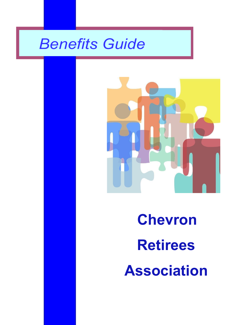# *Benefits Guide*



# **Chevron Retirees Association**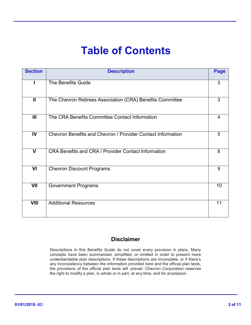## **Table of Contents**

| <b>Section</b>          | <b>Description</b>                                          | Page |
|-------------------------|-------------------------------------------------------------|------|
|                         | <b>The Benefits Guide</b>                                   | 3    |
| $\mathbf{I}$            | The Chevron Retirees Association (CRA) Benefits Committee   | 3    |
| III                     | The CRA Benefits Committee Contact Information              | 4    |
| IV                      | Chevron Benefits and Chevron / Provider Contact Information | 5    |
| $\overline{\mathsf{v}}$ | <b>CRA Benefits and CRA / Provider Contact Information</b>  | 8    |
| VI                      | <b>Chevron Discount Programs</b>                            | 9    |
| VII                     | <b>Government Programs</b>                                  | 10   |
| <b>VIII</b>             | <b>Additional Resources</b>                                 | 11   |

## **Disclaimer**

Descriptions in this Benefits Guide do not cover every provision in plans. Many concepts have been summarized, simplified, or omitted in order to present more understandable plan descriptions. If these descriptions are incomplete, or if there's any inconsistency between the information provided here and the official plan texts, the provisions of the official plan texts will prevail. Chevron Corporation reserves the right to modify a plan, in whole or in part, at any time, and for anyreason.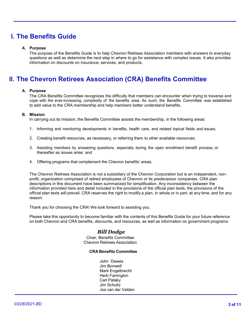## **I. The Benefits Guide**

#### **A. Purpose**

The purpose of the Benefits Guide is to help Chevron Retirees Association members with answers to everyday questions as well as determine the next step in where to go for assistance with complex issues. It also provides information on discounts on insurance, services, and products.

## **II. The Chevron Retirees Association (CRA) Benefits Committee**

#### **A. Purpose**

The CRA Benefits Committee recognizes the difficulty that members can encounter when trying to traverse and cope with the ever-increasing complexity of the benefits area. As such, the Benefits Committee was established to add value to the CRA membership and help members better understand benefits.

#### **B. Mission**

In carrying out its mission, the Benefits Committee assists the membership, in the following areas:

- 1. Informing and monitoring developments in benefits, health care, and related topical fields and issues;
- 2. Creating benefit resources, as necessary, or referring them to other available resources;
- 3. Assisting members by answering questions, especially during the open enrollment benefit process, or thereafter as issues arise; and
- 4. Offering programs that complement the Chevron benefits' areas.

The Chevron Retirees Association is not a subsidiary of the Chevron Corporation but is an independent, nonprofit, organization comprised of retired employees of Chevron or its predecessor companies. CRA plan descriptions in this document have been summarized for simplification. Any inconsistency between the information provided here and detail included in the provisions of the official plan texts, the provisions of the official plan texts will prevail. CRA reserves the right to modify a plan, in whole or in part, at any time, and for any reason.

Thank you for choosing the CRA! We look forward to assisting you.

Please take this opportunity to become familiar with the contents of this Benefits Guide for your future reference on both Chevron and CRA benefits, discounts, and resources, as well as information on government programs.

#### *Bill Dodge*

Chair, Benefits Committee Chevron Retirees Association

#### **CRA Benefits Committee**

John Dewes Jim Bonwell Mark Engelbrecht Herb Farrington Carl Pataky Jim Schultz Jos van der Velden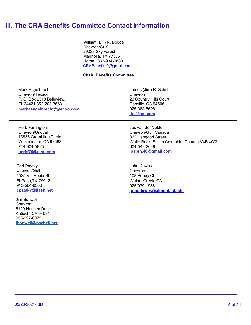## **III. The CRA Benefits Committee Contact Information**

| William (Bill) N. Dodge<br>Chevron/Gulf.<br>29033 Sky Forest<br>Magnolia, TX 77355<br>Home: 832-934-0680<br>CRABenefits9@gmail.com<br><b>Chair, Benefits Committee</b> |                                                                                                                                                        |  |  |
|------------------------------------------------------------------------------------------------------------------------------------------------------------------------|--------------------------------------------------------------------------------------------------------------------------------------------------------|--|--|
| Mark Engelbrecht<br>Chevron/Texaco<br>P.O. Box 2318 Belleview,<br>FL 34421 352-203-3663<br>markaengelbrecht@vahoo.com                                                  | James (Jim) R. Schultz<br>Chevron<br>20 Country Hills Court<br>Danville, CA 94506<br>925-368-8628<br>jirs@aol.com                                      |  |  |
| Herb Farrington<br>Chevron/Unocal<br>13936 Grambling Circle<br>Westminster, CA 92683<br>714-904-5825<br>herbf76@msn.com                                                | Jos van der Velden<br>Chevron/Gulf Canada<br>862 Habgood Street<br>White Rock, British Columbia, Canada V4B 4W3<br>604-542-2049<br>jospth.48@gmail.com |  |  |
| Carl Pataky<br>Chevron/Gulf<br>1525 Via Appia St<br>El Paso, TX 79912<br>915-584-9306<br>cpataky@flash.net                                                             | John Dewes<br>Chevron<br>108 Poppy Ct.<br>Walnut Creek, CA<br>925/939-1988<br>john.dewes@alumni.nd.edu                                                 |  |  |
| <b>Jim Bonwell</b><br>Chevron<br>5120 Hansen Drive<br>Antioch, CA 94531<br>925-997-6072<br>ibonwell@pacbell.net                                                        |                                                                                                                                                        |  |  |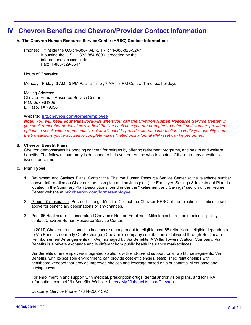## **IV. Chevron Benefits and Chevron/Provider Contact Information**

#### **A. The Chevron Human Resource Service Center (HRSC) Contact Information:**

Phones: If inside the U.S.; 1-888-TALK2HR, or 1-888-825-5247 If outside the U.S.; 1-832-854-5800, preceded by the international access code Fax**:** 1-888-329-8647

Hours of Operation:

Monday - Friday, 6 AM - 5 PM Pacific Time ; 7 AM - 8 PM Central Time, ex. holidays

Mailing Address: Chevron Human Resource Service Center P.O. Box 981909 El Paso, TX 79998

#### Website: **[hr2.chevron.com/fo](http://hr2.chevron.com/retiree)rmeremployee**

*Note: You will need your Password/PIN when you call the Chevron Human Resource Service Center. If you don't remember or don't know it, hold the line each time you are prompted to enter it until you are provided options to speak with a representative. You will need to provide alternate information to verify your identity, and the transactions you're allowed to complete will be limited until a formal PIN reset can be performed.*

#### **B. Chevron Benefit Plans**

Chevron demonstrates its ongoing concern for retirees by offering retirement programs, and health and welfare benefits. The following summary is designed to help you determine who to contact if there are any questions, issues, or claims:

#### **C. Plan Types**

- **1.** Retirement and Savings Plans: Contact the Chevron Human Resource Service Center at the telephone number above. Information on Chevron's pension plan and savings plan (the Employee Savings & Investment Plan) is located in the Summary Plan Descriptions found under the "Retirement and Savings" section of the Retiree Center website at **[hr2.chevron.com/f](http://hr2.chevron.com/retiree)ormeremployee**
- 2. Group Life Insurance: Provided through MetLife. Contact the Chevron HRSC at the telephone number shown above for beneficiary designations or anychanges.
- 3. Post-65 Healthcare: To understand Chevron's Retiree Enrollment Milestones for retiree medical eligibility, contact Chevron Human Resource Service Center.

In 2017, Chevron transitioned its healthcare management for eligible post-65 retirees and eligible dependents to Via Benefits (formerly OneExchange.) Chevron's company contribution is delivered through Healthcare Reimbursement Arrangements (HRAs) managed by Via Benefits. A Willis Towers Watson Company, Via Benefits is a private exchange and is different from public health insurance marketplaces.

Via Benefits offers employers integrated solutions with end-to-end support for all workforce segments. Via Benefits, with its scalable environment, can provide cost efficiencies, established relationships with healthcare vendors that provide improved choices and leverage based on a substantial client base and buying power.

For enrollment in and support with medical, prescription drugs, dental and/or vision plans, and for HRA information, contact Via Benefits. Website: [https://My.Viabenefits.com/Chevron](https://my.viabenefits.com/Chevron)

Customer Service Phone: 1-844-266-1392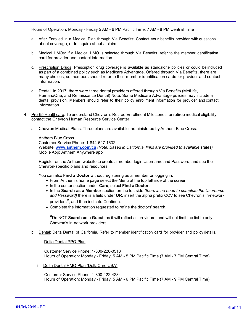Hours of Operation: Monday - Friday 5 AM - 6 PM Pacific Time; 7 AM - 8 PM Central Time

- a. After Enrolled in a Medical Plan through Via Benefits: Contact your benefits provider with questions about coverage, or to inquire about a claim.
- b. Medical HMOs: If a Medical HMO is selected through Via Benefits, refer to the member identification card for provider and contact information.
- c. Prescription Drugs: Prescription drug coverage is available as standalone policies or could be included as part of a combined policy such as Medicare Advantage. Offered through Via Benefits, there are many choices, so members should refer to their member identification cards for provider and contact information.
- d. Dental: In 2017, there were three dental providers offered through Via Benefits (MetLife, HumanaOne, and Renaissance Dental) Note: Some Medicare Advantage policies may include a dental provision. Members should refer to their policy enrollment information for provider and contact information.
- 4. Pre-65 Healthcare: To understand Chevron's Retiree Enrollment Milestones for retiree medical eligibility, contact the Chevron Human Resource Service Center.
	- a. Chevron Medical Plans: Three plans are available, administered by Anthem Blue Cross.

Anthem Blue Cross Customer Service Phone: 1-844-627-1632 Website: **[www.anthem.com/ca](http://www.anthem.com/ca)** *(Note: Based in California, links are provided to available states)* Mobile App: Anthem Anywhere app

Register on the Anthem website to create a member login Username and Password, and see the Chevron-specific plans and resources.

You can also **Find a Doctor** without registering as a member or logging in:

- From Anthem's home page select the Menu at the top left side of the screen.
- In the center section under **Care**, select **Find a Doctor.**
- In the **Search as a Member** section on the left side *(there is no need to complete the Username and Password)* there is a field under **OR,** insert the alpha prefix CCV to see Chevron's in-network providers**\***, and then indicate Continue.
- Complete the information requested to refine the doctors' search.

**\***Do NOT **Search as a Guest,** as it will reflect all providers, and will not limit the list to only Chevron's in-network providers.

- b. Dental: Delta Dental of California. Refer to member identification card for provider and policy details.
	- i. Delta Dental PPO Plan:

Customer Service Phone: 1-800-228-0513 Hours of Operation: Monday - Friday, 5 AM - 5 PM Pacific Time (7 AM - 7 PM Central Time)

ii. Delta Dental HMO Plan (DeltaCare USA):

Customer Service Phone: 1-800-422-4234 Hours of Operation: Monday - Friday, 5 AM - 6 PM Pacific Time (7 AM - 9 PM Central Time)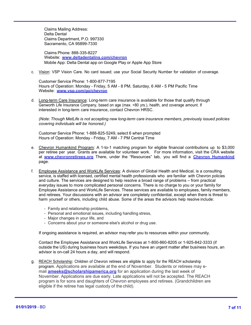Claims Mailing Address: Delta Dental Claims Department, P.O. 997330 Sacramento, CA 95899-7330

Claims Phone: 888-335-8227 Website: **[www.deltadentalins.com/chevron](http://www.deltadentalins.com/chevron)** Mobile App: Delta Dental app on Google Play or Apple App Store

c. Vision: VSP Vision Care. No card issued; use your Social Security Number for validation of coverage.

Customer Service Phone: 1-800-877-7195 Hours of Operation: Monday - Friday, 5 AM - 8 PM, Saturday, 6 AM - 5 PM Pacific Time Website: **[www.vsp.com/go/chevron](http://www.vsp.com/go/chevron)**

d. Long-term Care Insurance: Long-term care insurance is available for those that qualify through Genworth Life Insurance Company, based on age (max. <80 yrs.), health, and coverage amount. If interested in long-term care insurance, contact Chevron HRSC.

*(Note: Though MetLife is not accepting new long-term care insurance members, previously issued policies covering individuals will be honored.)*

Customer Service Phone: 1-888-825-5249, select 6 when prompted Hours of Operation: Monday - Friday, 7 AM - 7 PM Central Time

- e. Chevron Humankind Program: A 1-to-1 matching program for eligible financial contributions up to \$3,000 per retiree per year. Grants are available for volunteer work. For more information, visit the CRA website at **[www.chevronretirees.org](http://www.chevronretirees.org/)** There, under the "Resources" tab, you will find a **[Chevron Humankind](http://www.chevronretirees.org/ResourcesGroup/ChevronHumankind)** page.
- f. Employee Assistance and WorkLife Services: A division of Global Health and Medical, is a consulting service, is staffed with licensed, certified mental health professionals who are familiar with Chevron policies and culture. The services are designed to help resolve a broad range of problems – from practical everyday issues to more complicated personal concerns. There is no charge to you or your family for Employee Assistance and WorkLife Services. These services are available to employees, family members, and retirees. Your discussions with an advisor are completely confidential, except when there is threat to harm yourself or others, including child abuse. Some of the areas the advisors help resolve include:
	- Family and relationship problems,
	- Personal and emotional issues, including handling stress,
	- Major changes in your life, and
	- Concerns about your or someone else's alcohol or drug use.

If ongoing assistance is required, an advisor may refer you to resources within your community.

Contact the Employee Assistance and WorkLife Services at 1-800-860-8205 or 1-925-842-3333 (if outside the US) during business hours weekdays. If you have an urgent matter after business hours, an advisor is on-call 24 hours a day, and will respond.

g. REACH Scholarship: Children of Chevron retirees are eligible to apply for the REACH scholarship program. Applications are available at the end of November. Students or retirees may email **[ameeks@scholarshipamerica.org](mailto:ameeks@scholarshipamerica.org)** for an application during the last week of November. Applications are due early. Late applications will not be accepted. The REACH program is for sons and daughters of Chevron employees and retirees. (Grandchildren are eligible if the retiree has legal custody of the child).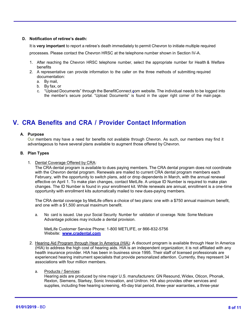#### **D. Notification of retiree's death:**

It is **very important** to report a retiree's death immediately to permit Chevron to initiate multiple required processes. Please contact the Chevron HRSC at the telephone number shown in Section IV-A.

- 1. After reaching the Chevron HRSC telephone number, select the appropriate number for Health & Welfare benefits
- 2. A representative can provide information to the caller on the three methods of submitting required documentation:
	- a. By mail,
	- b. By fax, or
	- c. "Upload Documents" through the BenefitConnect.com website. The individual needs to be logged into the member's secure portal. "Upload Documents" is found in the upper right corner of the main page.

## **V. CRA Benefits and CRA / Provider Contact Information**

#### **A. Purpose**

Our members may have a need for benefits not available through Chevron. As such, our members may find it advantageous to have several plans available to augment those offered by Chevron.

#### **B. Plan Types**

#### 1. Dental Coverage Offered by CRA:

The CRA dental program is available to dues paying members. The CRA dental program does not coordinate with the Chevron dental program. Renewals are mailed to current CRA dental program members each February, with the opportunity to switch plans, add or drop dependents in March, with the annual renewal effective on April 1. To make plan changes, contact MetLife. A unique ID Number is required to make plan changes. The ID Number is found in your enrollment kit. While renewals are annual, enrollment is a one-time opportunity with enrollment kits automatically mailed to new dues-paying members.

The CRA dental coverage by MetLife offers a choice of two plans: one with a \$750 annual maximum benefit, and one with a \$1,500 annual maximum benefit.

a. No card is issued. Use your Social Security Number for validation of coverage. Note: Some Medicare Advantage policies may include a dental provision.

MetLife Customer Service Phone: 1-800 METLIFE, or 866-832-5756 Website: **[www.cradental.com](http://www.cradental.com/)**

2. Hearing Aid Program through Hear In America (HIA): A discount program is available through Hear In America (HIA) to address the high cost of hearing aids. HIA is an independent organization; it is not affiliated with any health insurance provider. HIA has been in business since 1995. Their staff of licensed professionals are experienced hearing instrument specialists that provide personalized attention. Currently, they represent 34 associations with four million members.

#### a. Products / Services:

Hearing aids are produced by nine major U.S. manufacturers: GN Resound, Widex, Oticon, Phonak, Rexton, Siemens, Starkey, Sonic Innovation, and Unitron. HIA also provides other services and supplies, including free hearing screening, 45-day trial period, three-year warranties, a three-year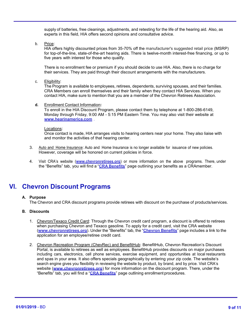supply of batteries, free cleanings, adjustments, and retesting for the life of the hearing aid. Also, as experts in this field, HIA offers second opinions and consultative advice.

b. Price:

HIA offers highly discounted prices from 35-70% off the manufacturer's suggested retail price (MSRP) for top-of-the-line, state-of-the-art hearing aids. There is twelve-month interest-free financing, or up to five years with interest for those who qualify.

There is no enrollment fee or premium if you should decide to use HIA. Also, there is no charge for their services. They are paid through their discount arrangements with the manufacturers.

c. Eligibility:

The Program is available to employees, retirees, dependents, surviving spouses, and their families. CRA Members can enroll themselves and their family when they contact HIA Services. When you contact HIA, make sure to mention that you are a member of the Chevron Retirees Association.

**d.** Enrollment Contact Information**:**

To enroll in the HIA Discount Program, please contact them by telephone at 1-800-286-6149, Monday through Friday, 9:00 AM - 5:15 PM Eastern Time. You may also visit their website at **[www.hearinamerica.com](http://www.hearinamerica.com/)** .

#### Locations:

Once contact is made, HIA arranges visits to hearing centers near your home. They also liaise with and monitor the activities of that hearing center.

- 3. Auto and Home Insurance: Auto and Home Insurance is no longer available for issuance of new policies. However, coverage will be honored on current policies in force.
- 4. Visit CRA's website (**[www.chevronretirees.org](http://www.chevronretirees.org/)**) or more information on the above programs. There, under the "Benefits" tab, you will find a "**CRA [Benefits](http://chevronretirees.org/BenefitsGroup/CraBenefits.aspx)**" page outlining your benefits as a CRAmember.

## **VI. Chevron Discount Programs**

#### **A. Purpose**

The Chevron and CRA discount programs provide retirees with discount on the purchase of products/services.

#### **B. Discounts**

- 1. Chevron/Texaco Credit Card: Through the Chevron credit card program, a discount is offered to retirees when purchasing Chevron and Texaco gasoline. To apply for a credit card, visit the CRA website (**[www.chevronretirees.org](http://www.chevronretirees.org/)**). Under the "Benefits" tab, the "**[Chevron](http://chevronretirees.org/BenefitsGroup/ChevronBenefits.aspx) Benefits**" page includes a link to the application for an employee/retiree credit card.
- 2. Chevron Recreation Program (ChevRec) and BenefitHub: BenefitHub, Chevron Recreation's Discount Portal, is available to retirees as well as employees. BenefitHub provides discounts on major purchases including cars, electronics, cell phone services, exercise equipment, and opportunities at local restaurants and spas in your area. It also offers specials geographically by entering your zip code. The website's search engine gives you flexibility in reviewing the website by product, by brand, and by price. Visit CRA's website (**[www.chevronretirees.org](http://www.chevronretirees.org/)**) for more information on the discount program. There, under the "Benefits" tab, you will find a "**CRA [Benefits](http://chevronretirees.org/BenefitsGroup/CraBenefits.aspx)**" page outlining enrollment procedures.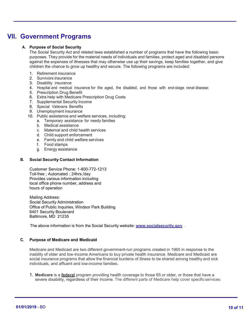## **VII. Government Programs**

#### **A. Purpose of Social Security**

The Social Security Act and related laws established a number of programs that have the following basic purposes. They provide for the material needs of individuals and families, protect aged and disabled persons against the expenses of illnesses that may otherwise use up their savings, keep families together, and give children the chance to grow up healthy and secure. The following programs are included:

- 1. Retirement insurance
- 2. Survivors insurance
- 3. Disability insurance
- 4. Hospital and medical insurance for the aged, the disabled, and those with end-stage renal disease;
- 5. Prescription Drug Benefit
- 6. Extra help with Medicare Prescription Drug Costs
- 7. Supplemental Security Income
- 8. Special Veterans Benefits
- 9. Unemployment insurance
- 10. Public assistance and welfare services, including:
	- a. Temporary assistance for needy families
	- b. Medical assistance
	- c. Maternal and child health services
	- d. Child support enforcement
	- e. Family and child welfare services
	- f. Food stamps
	- g. Energy assistance

#### **B. Social Security Contact Information**

Customer Service Phone: 1-800-772-1213 Toll-free ; Automated ; 24hrs./day Provides various information including local office phone number, address and hours of operation

Mailing Address: Social Security Administration Office of Public Inquiries, Windsor Park Building 6401 Security Boulevard Baltimore, MD 21235

The above information is from the Social Security website: **[www.socialsecurity.gov](http://www.socialsecurity.gov/)** .

#### **C. Purpose of Medicare and Medicaid**

Medicare and Medicaid are two different government-run programs created in 1965 in response to the inability of older and low-income Americans to buy private health insurance. Medicare and Medicaid are social insurance programs that allow the financial burdens of illness to be shared among healthy and sick individuals, and affluent and low-income families.

1. **Medicare** is a **federal** program providing health coverage to those 65 or older, or those that have a severe disability, regardless of their income. The different parts of Medicare help cover specific services: